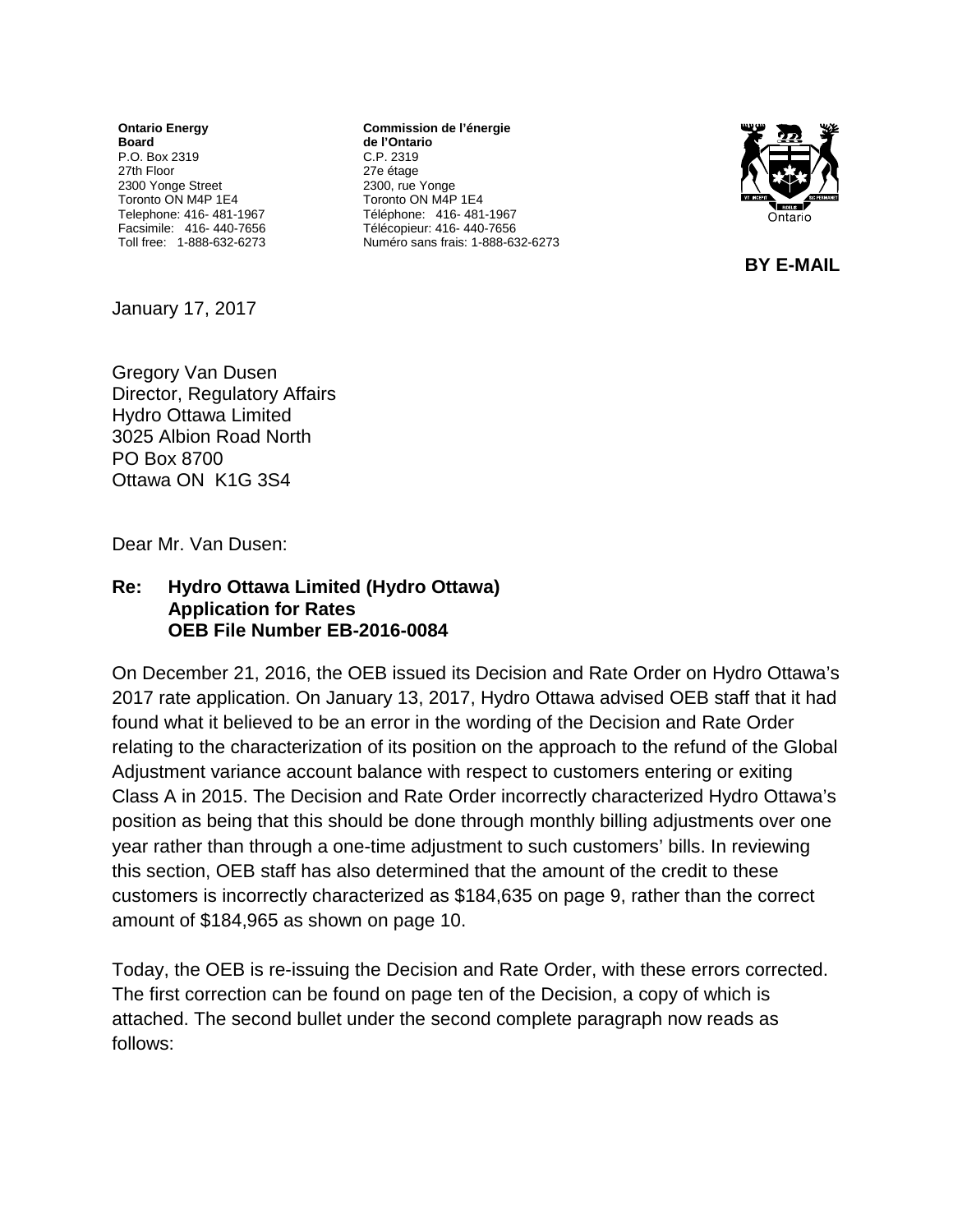**Ontario Energy Board** P.O. Box 2319 27th Floor 2300 Yonge Street Toronto ON M4P 1E4 Telephone: 416- 481-1967 Facsimile: 416- 440-7656 Toll free: 1-888-632-6273

**Commission de l'énergie de l'Ontario** C.P. 2319 27e étage 2300, rue Yonge Toronto ON M4P 1E4 Téléphone: 416- 481-1967 Télécopieur: 416- 440-7656 Numéro sans frais: 1-888-632-6273



**BY E-MAIL**

January 17, 2017

Gregory Van Dusen Director, Regulatory Affairs Hydro Ottawa Limited 3025 Albion Road North PO Box 8700 Ottawa ON K1G 3S4

Dear Mr. Van Dusen:

## **Re: Hydro Ottawa Limited (Hydro Ottawa) Application for Rates OEB File Number EB-2016-0084**

On December 21, 2016, the OEB issued its Decision and Rate Order on Hydro Ottawa's 2017 rate application. On January 13, 2017, Hydro Ottawa advised OEB staff that it had found what it believed to be an error in the wording of the Decision and Rate Order relating to the characterization of its position on the approach to the refund of the Global Adjustment variance account balance with respect to customers entering or exiting Class A in 2015. The Decision and Rate Order incorrectly characterized Hydro Ottawa's position as being that this should be done through monthly billing adjustments over one year rather than through a one-time adjustment to such customers' bills. In reviewing this section, OEB staff has also determined that the amount of the credit to these customers is incorrectly characterized as \$184,635 on page 9, rather than the correct amount of \$184,965 as shown on page 10.

Today, the OEB is re-issuing the Decision and Rate Order, with these errors corrected. The first correction can be found on page ten of the Decision, a copy of which is attached. The second bullet under the second complete paragraph now reads as follows: